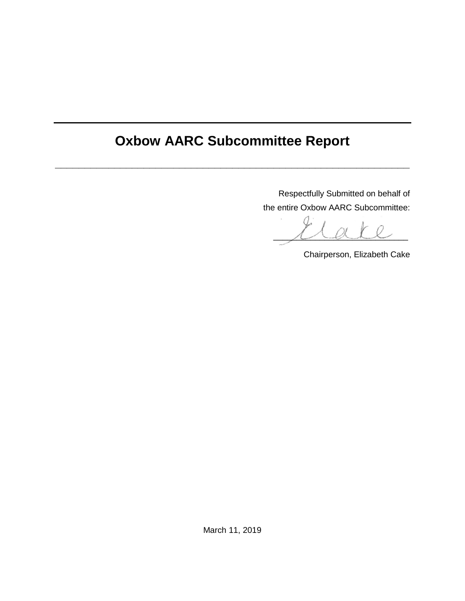# **Oxbow AARC Subcommittee Report**

**\_\_\_\_\_\_\_\_\_\_\_\_\_\_\_\_\_\_\_\_\_\_\_\_\_\_\_\_\_\_\_\_\_\_\_\_\_\_\_\_\_\_\_\_\_\_\_\_\_\_\_\_\_\_\_\_\_\_\_\_**

Respectfully Submitted on behalf of the entire Oxbow AARC Subcommittee:

 $\sim$  air

Chairperson, Elizabeth Cake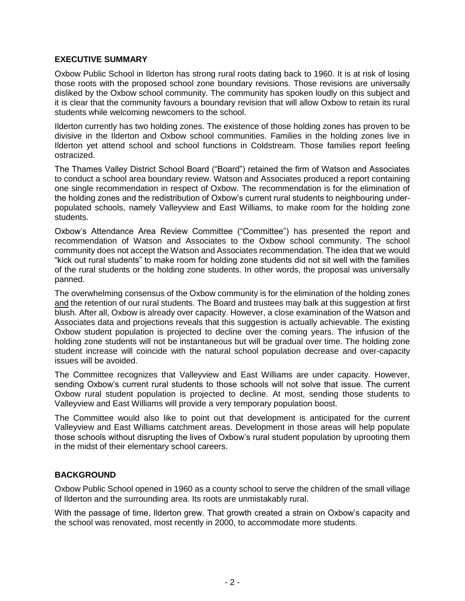## **EXECUTIVE SUMMARY**

Oxbow Public School in Ilderton has strong rural roots dating back to 1960. It is at risk of losing those roots with the proposed school zone boundary revisions. Those revisions are universally disliked by the Oxbow school community. The community has spoken loudly on this subject and it is clear that the community favours a boundary revision that will allow Oxbow to retain its rural students while welcoming newcomers to the school.

Ilderton currently has two holding zones. The existence of those holding zones has proven to be divisive in the Ilderton and Oxbow school communities. Families in the holding zones live in Ilderton yet attend school and school functions in Coldstream. Those families report feeling ostracized.

The Thames Valley District School Board ("Board") retained the firm of Watson and Associates to conduct a school area boundary review. Watson and Associates produced a report containing one single recommendation in respect of Oxbow. The recommendation is for the elimination of the holding zones and the redistribution of Oxbow's current rural students to neighbouring underpopulated schools, namely Valleyview and East Williams, to make room for the holding zone students.

Oxbow's Attendance Area Review Committee ("Committee") has presented the report and recommendation of Watson and Associates to the Oxbow school community. The school community does not accept the Watson and Associates recommendation. The idea that we would "kick out rural students" to make room for holding zone students did not sit well with the families of the rural students or the holding zone students. In other words, the proposal was universally panned.

The overwhelming consensus of the Oxbow community is for the elimination of the holding zones and the retention of our rural students. The Board and trustees may balk at this suggestion at first blush. After all, Oxbow is already over capacity. However, a close examination of the Watson and Associates data and projections reveals that this suggestion is actually achievable. The existing Oxbow student population is projected to decline over the coming years. The infusion of the holding zone students will not be instantaneous but will be gradual over time. The holding zone student increase will coincide with the natural school population decrease and over-capacity issues will be avoided.

The Committee recognizes that Valleyview and East Williams are under capacity. However, sending Oxbow's current rural students to those schools will not solve that issue. The current Oxbow rural student population is projected to decline. At most, sending those students to Valleyview and East Williams will provide a very temporary population boost.

The Committee would also like to point out that development is anticipated for the current Valleyview and East Williams catchment areas. Development in those areas will help populate those schools without disrupting the lives of Oxbow's rural student population by uprooting them in the midst of their elementary school careers.

# **BACKGROUND**

Oxbow Public School opened in 1960 as a county school to serve the children of the small village of Ilderton and the surrounding area. Its roots are unmistakably rural.

With the passage of time, Ilderton grew. That growth created a strain on Oxbow's capacity and the school was renovated, most recently in 2000, to accommodate more students.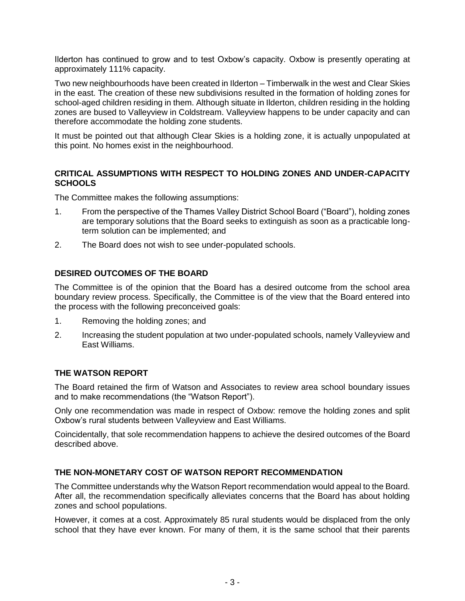Ilderton has continued to grow and to test Oxbow's capacity. Oxbow is presently operating at approximately 111% capacity.

Two new neighbourhoods have been created in Ilderton – Timberwalk in the west and Clear Skies in the east. The creation of these new subdivisions resulted in the formation of holding zones for school-aged children residing in them. Although situate in Ilderton, children residing in the holding zones are bused to Valleyview in Coldstream. Valleyview happens to be under capacity and can therefore accommodate the holding zone students.

It must be pointed out that although Clear Skies is a holding zone, it is actually unpopulated at this point. No homes exist in the neighbourhood.

# **CRITICAL ASSUMPTIONS WITH RESPECT TO HOLDING ZONES AND UNDER-CAPACITY SCHOOLS**

The Committee makes the following assumptions:

- 1. From the perspective of the Thames Valley District School Board ("Board"), holding zones are temporary solutions that the Board seeks to extinguish as soon as a practicable longterm solution can be implemented; and
- 2. The Board does not wish to see under-populated schools.

#### **DESIRED OUTCOMES OF THE BOARD**

The Committee is of the opinion that the Board has a desired outcome from the school area boundary review process. Specifically, the Committee is of the view that the Board entered into the process with the following preconceived goals:

- 1. Removing the holding zones; and
- 2. Increasing the student population at two under-populated schools, namely Valleyview and East Williams.

# **THE WATSON REPORT**

The Board retained the firm of Watson and Associates to review area school boundary issues and to make recommendations (the "Watson Report").

Only one recommendation was made in respect of Oxbow: remove the holding zones and split Oxbow's rural students between Valleyview and East Williams.

Coincidentally, that sole recommendation happens to achieve the desired outcomes of the Board described above.

#### **THE NON-MONETARY COST OF WATSON REPORT RECOMMENDATION**

The Committee understands why the Watson Report recommendation would appeal to the Board. After all, the recommendation specifically alleviates concerns that the Board has about holding zones and school populations.

However, it comes at a cost. Approximately 85 rural students would be displaced from the only school that they have ever known. For many of them, it is the same school that their parents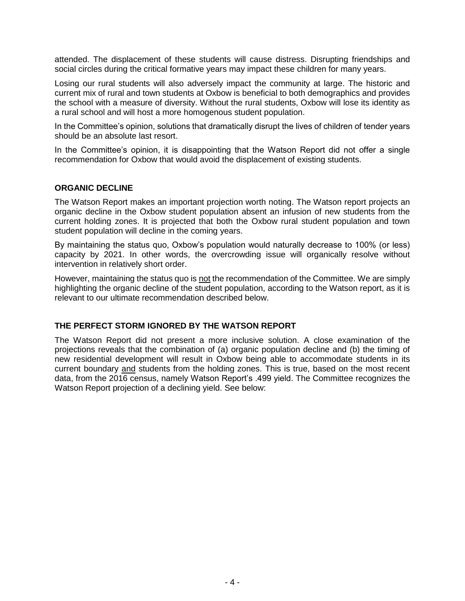attended. The displacement of these students will cause distress. Disrupting friendships and social circles during the critical formative years may impact these children for many years.

Losing our rural students will also adversely impact the community at large. The historic and current mix of rural and town students at Oxbow is beneficial to both demographics and provides the school with a measure of diversity. Without the rural students, Oxbow will lose its identity as a rural school and will host a more homogenous student population.

In the Committee's opinion, solutions that dramatically disrupt the lives of children of tender years should be an absolute last resort.

In the Committee's opinion, it is disappointing that the Watson Report did not offer a single recommendation for Oxbow that would avoid the displacement of existing students.

## **ORGANIC DECLINE**

The Watson Report makes an important projection worth noting. The Watson report projects an organic decline in the Oxbow student population absent an infusion of new students from the current holding zones. It is projected that both the Oxbow rural student population and town student population will decline in the coming years.

By maintaining the status quo, Oxbow's population would naturally decrease to 100% (or less) capacity by 2021. In other words, the overcrowding issue will organically resolve without intervention in relatively short order.

However, maintaining the status quo is not the recommendation of the Committee. We are simply highlighting the organic decline of the student population, according to the Watson report, as it is relevant to our ultimate recommendation described below.

## **THE PERFECT STORM IGNORED BY THE WATSON REPORT**

The Watson Report did not present a more inclusive solution. A close examination of the projections reveals that the combination of (a) organic population decline and (b) the timing of new residential development will result in Oxbow being able to accommodate students in its current boundary and students from the holding zones. This is true, based on the most recent data, from the 2016 census, namely Watson Report's .499 yield. The Committee recognizes the Watson Report projection of a declining yield. See below: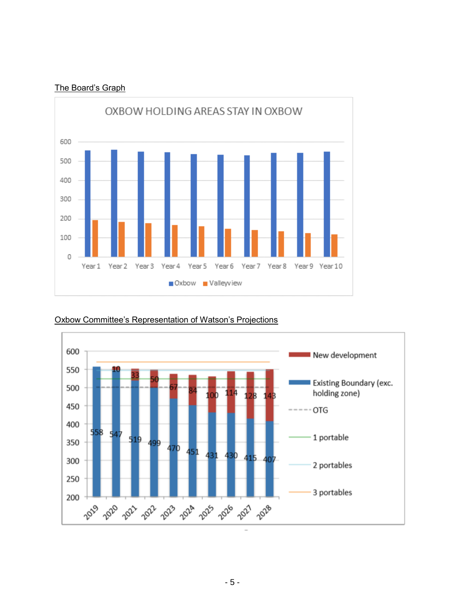# The Board's Graph





## Oxbow Committee's Representation of Watson's Projections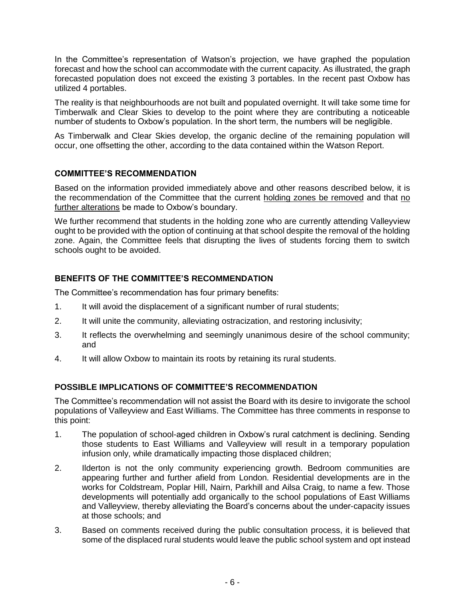In the Committee's representation of Watson's projection, we have graphed the population forecast and how the school can accommodate with the current capacity. As illustrated, the graph forecasted population does not exceed the existing 3 portables. In the recent past Oxbow has utilized 4 portables.

The reality is that neighbourhoods are not built and populated overnight. It will take some time for Timberwalk and Clear Skies to develop to the point where they are contributing a noticeable number of students to Oxbow's population. In the short term, the numbers will be negligible.

As Timberwalk and Clear Skies develop, the organic decline of the remaining population will occur, one offsetting the other, according to the data contained within the Watson Report.

# **COMMITTEE'S RECOMMENDATION**

Based on the information provided immediately above and other reasons described below, it is the recommendation of the Committee that the current holding zones be removed and that no further alterations be made to Oxbow's boundary.

We further recommend that students in the holding zone who are currently attending Valleyview ought to be provided with the option of continuing at that school despite the removal of the holding zone. Again, the Committee feels that disrupting the lives of students forcing them to switch schools ought to be avoided.

# **BENEFITS OF THE COMMITTEE'S RECOMMENDATION**

The Committee's recommendation has four primary benefits:

- 1. It will avoid the displacement of a significant number of rural students;
- 2. It will unite the community, alleviating ostracization, and restoring inclusivity;
- 3. It reflects the overwhelming and seemingly unanimous desire of the school community; and
- 4. It will allow Oxbow to maintain its roots by retaining its rural students.

# **POSSIBLE IMPLICATIONS OF COMMITTEE'S RECOMMENDATION**

The Committee's recommendation will not assist the Board with its desire to invigorate the school populations of Valleyview and East Williams. The Committee has three comments in response to this point:

- 1. The population of school-aged children in Oxbow's rural catchment is declining. Sending those students to East Williams and Valleyview will result in a temporary population infusion only, while dramatically impacting those displaced children;
- 2. Ilderton is not the only community experiencing growth. Bedroom communities are appearing further and further afield from London. Residential developments are in the works for Coldstream, Poplar Hill, Nairn, Parkhill and Ailsa Craig, to name a few. Those developments will potentially add organically to the school populations of East Williams and Valleyview, thereby alleviating the Board's concerns about the under-capacity issues at those schools; and
- 3. Based on comments received during the public consultation process, it is believed that some of the displaced rural students would leave the public school system and opt instead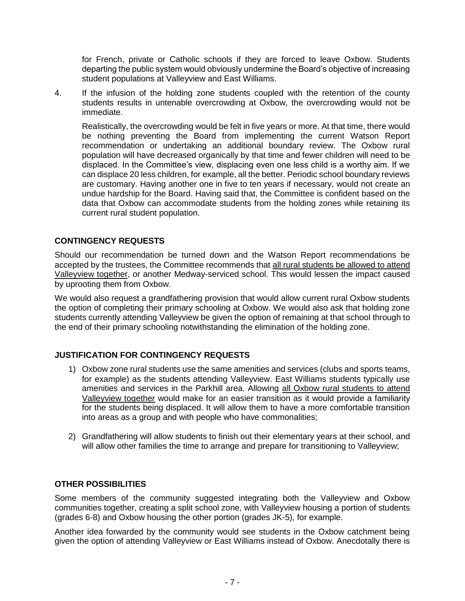for French, private or Catholic schools if they are forced to leave Oxbow. Students departing the public system would obviously undermine the Board's objective of increasing student populations at Valleyview and East Williams.

4. If the infusion of the holding zone students coupled with the retention of the county students results in untenable overcrowding at Oxbow, the overcrowding would not be immediate.

Realistically, the overcrowding would be felt in five years or more. At that time, there would be nothing preventing the Board from implementing the current Watson Report recommendation or undertaking an additional boundary review. The Oxbow rural population will have decreased organically by that time and fewer children will need to be displaced. In the Committee's view, displacing even one less child is a worthy aim. If we can displace 20 less children, for example, all the better. Periodic school boundary reviews are customary. Having another one in five to ten years if necessary, would not create an undue hardship for the Board. Having said that, the Committee is confident based on the data that Oxbow can accommodate students from the holding zones while retaining its current rural student population.

# **CONTINGENCY REQUESTS**

Should our recommendation be turned down and the Watson Report recommendations be accepted by the trustees, the Committee recommends that all rural students be allowed to attend Valleyview together, or another Medway-serviced school. This would lessen the impact caused by uprooting them from Oxbow.

We would also request a grandfathering provision that would allow current rural Oxbow students the option of completing their primary schooling at Oxbow. We would also ask that holding zone students currently attending Valleyview be given the option of remaining at that school through to the end of their primary schooling notwithstanding the elimination of the holding zone.

# **JUSTIFICATION FOR CONTINGENCY REQUESTS**

- 1) Oxbow zone rural students use the same amenities and services (clubs and sports teams, for example) as the students attending Valleyview. East Williams students typically use amenities and services in the Parkhill area. Allowing all Oxbow rural students to attend Valleyview together would make for an easier transition as it would provide a familiarity for the students being displaced. It will allow them to have a more comfortable transition into areas as a group and with people who have commonalities;
- 2) Grandfathering will allow students to finish out their elementary years at their school, and will allow other families the time to arrange and prepare for transitioning to Valleyview;

# **OTHER POSSIBILITIES**

Some members of the community suggested integrating both the Valleyview and Oxbow communities together, creating a split school zone, with Valleyview housing a portion of students (grades 6-8) and Oxbow housing the other portion (grades JK-5), for example.

Another idea forwarded by the community would see students in the Oxbow catchment being given the option of attending Valleyview or East Williams instead of Oxbow. Anecdotally there is